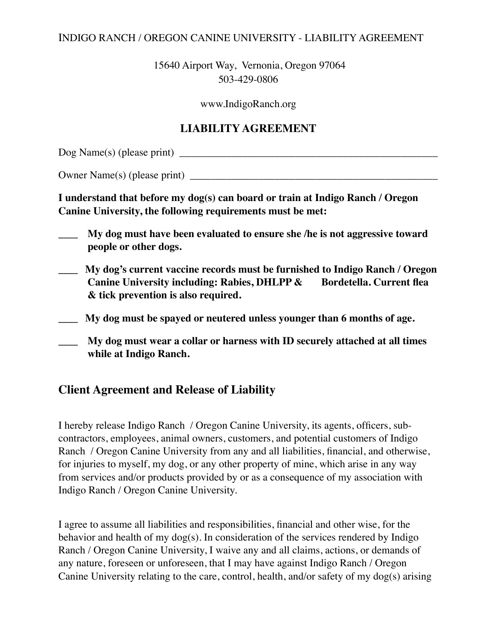## INDIGO RANCH / OREGON CANINE UNIVERSITY - LIABILITY AGREEMENT

15640 Airport Way, Vernonia, Oregon 97064 503-429-0806

www.IndigoRanch.org

## **LIABILITY AGREEMENT**

Dog Name(s) (please print) \_\_\_\_\_\_\_\_\_\_\_\_\_\_\_\_\_\_\_\_\_\_\_\_\_\_\_\_\_\_\_\_\_\_\_\_\_\_\_\_\_\_\_\_\_\_\_\_\_

Owner Name $(s)$  (please print)

**I understand that before my dog(s) can board or train at Indigo Ranch / Oregon Canine University, the following requirements must be met:**

- **\_\_\_\_ My dog must have been evaluated to ensure she /he is not aggressive toward people or other dogs.**
- **\_\_\_\_ My dog's current vaccine records must be furnished to Indigo Ranch / Oregon**  Canine University including: Rabies, DHLPP & Bordetella. Current flea **& tick prevention is also required.**
- **\_\_\_\_ My dog must be spayed or neutered unless younger than 6 months of age.**
- **\_\_\_\_ My dog must wear a collar or harness with ID securely attached at all times while at Indigo Ranch.**

## **Client Agreement and Release of Liability**

I hereby release Indigo Ranch / Oregon Canine University, its agents, officers, subcontractors, employees, animal owners, customers, and potential customers of Indigo Ranch / Oregon Canine University from any and all liabilities, financial, and otherwise, for injuries to myself, my dog, or any other property of mine, which arise in any way from services and/or products provided by or as a consequence of my association with Indigo Ranch / Oregon Canine University.

I agree to assume all liabilities and responsibilities, financial and other wise, for the behavior and health of my dog(s). In consideration of the services rendered by Indigo Ranch / Oregon Canine University, I waive any and all claims, actions, or demands of any nature, foreseen or unforeseen, that I may have against Indigo Ranch / Oregon Canine University relating to the care, control, health, and/or safety of my dog(s) arising